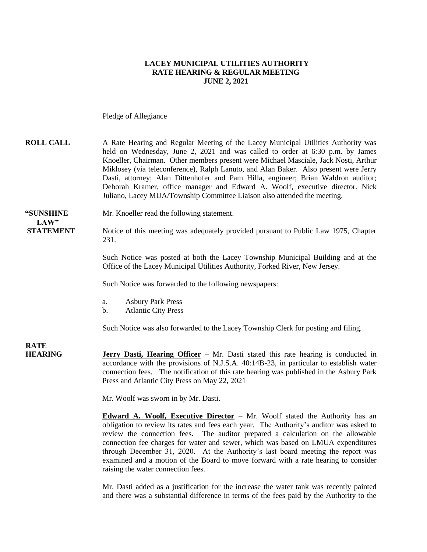#### **LACEY MUNICIPAL UTILITIES AUTHORITY RATE HEARING & REGULAR MEETING JUNE 2, 2021**

Pledge of Allegiance

| <b>ROLL CALL</b>              | A Rate Hearing and Regular Meeting of the Lacey Municipal Utilities Authority was<br>held on Wednesday, June 2, 2021 and was called to order at 6:30 p.m. by James<br>Knoeller, Chairman. Other members present were Michael Masciale, Jack Nosti, Arthur<br>Miklosey (via teleconference), Ralph Lanuto, and Alan Baker. Also present were Jerry<br>Dasti, attorney; Alan Dittenhofer and Pam Hilla, engineer; Brian Waldron auditor;<br>Deborah Kramer, office manager and Edward A. Woolf, executive director. Nick<br>Juliano, Lacey MUA/Township Committee Liaison also attended the meeting. |
|-------------------------------|----------------------------------------------------------------------------------------------------------------------------------------------------------------------------------------------------------------------------------------------------------------------------------------------------------------------------------------------------------------------------------------------------------------------------------------------------------------------------------------------------------------------------------------------------------------------------------------------------|
| "SUNSHINE<br>LAW"             | Mr. Knoeller read the following statement.                                                                                                                                                                                                                                                                                                                                                                                                                                                                                                                                                         |
| <b>STATEMENT</b>              | Notice of this meeting was adequately provided pursuant to Public Law 1975, Chapter<br>231.                                                                                                                                                                                                                                                                                                                                                                                                                                                                                                        |
|                               | Such Notice was posted at both the Lacey Township Municipal Building and at the<br>Office of the Lacey Municipal Utilities Authority, Forked River, New Jersey.                                                                                                                                                                                                                                                                                                                                                                                                                                    |
|                               | Such Notice was forwarded to the following newspapers:                                                                                                                                                                                                                                                                                                                                                                                                                                                                                                                                             |
|                               | <b>Asbury Park Press</b><br>a.<br><b>Atlantic City Press</b><br>$\mathbf{b}$ .                                                                                                                                                                                                                                                                                                                                                                                                                                                                                                                     |
|                               | Such Notice was also forwarded to the Lacey Township Clerk for posting and filing.                                                                                                                                                                                                                                                                                                                                                                                                                                                                                                                 |
| <b>RATE</b><br><b>HEARING</b> | <b>Jerry Dasti, Hearing Officer</b> – Mr. Dasti stated this rate hearing is conducted in<br>accordance with the provisions of N.J.S.A. 40:14B-23, in particular to establish water<br>connection fees. The notification of this rate hearing was published in the Asbury Park<br>Press and Atlantic City Press on May 22, 2021<br>Mr. Woolf was sworn in by Mr. Dasti.                                                                                                                                                                                                                             |

**Edward A. Woolf, Executive Director** – Mr. Woolf stated the Authority has an obligation to review its rates and fees each year. The Authority's auditor was asked to review the connection fees. The auditor prepared a calculation on the allowable connection fee charges for water and sewer, which was based on LMUA expenditures through December 31, 2020. At the Authority's last board meeting the report was examined and a motion of the Board to move forward with a rate hearing to consider raising the water connection fees.

Mr. Dasti added as a justification for the increase the water tank was recently painted and there was a substantial difference in terms of the fees paid by the Authority to the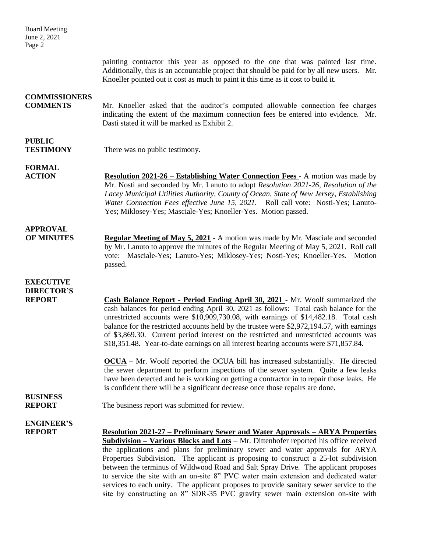painting contractor this year as opposed to the one that was painted last time. Additionally, this is an accountable project that should be paid for by all new users. Mr. Knoeller pointed out it cost as much to paint it this time as it cost to build it.

### **COMMISSIONERS**

**COMMENTS** Mr. Knoeller asked that the auditor's computed allowable connection fee charges indicating the extent of the maximum connection fees be entered into evidence. Mr. Dasti stated it will be marked as Exhibit 2.

## **PUBLIC**

**TESTIMONY** There was no public testimony.

### **FORMAL**

**ACTION Resolution 2021-26 – Establishing Water Connection Fees** - A motion was made by Mr. Nosti and seconded by Mr. Lanuto to adopt *Resolution 2021-26, Resolution of the Lacey Municipal Utilities Authority, County of Ocean, State of New Jersey, Establishing Water Connection Fees effective June 15, 2021.* Roll call vote: Nosti-Yes; Lanuto-Yes; Miklosey-Yes; Masciale-Yes; Knoeller-Yes. Motion passed.

#### **OF MINUTES Regular Meeting of May 5, 2021** - A motion was made by Mr. Masciale and seconded by Mr. Lanuto to approve the minutes of the Regular Meeting of May 5, 2021. Roll call vote: Masciale-Yes; Lanuto-Yes; Miklosey-Yes; Nosti-Yes; Knoeller-Yes. Motion passed.

### **EXECUTIVE DIRECTOR'S**

**APPROVAL**

**REPORT Cash Balance Report - Period Ending April 30, 2021** - Mr. Woolf summarized the cash balances for period ending April 30, 2021 as follows: Total cash balance for the unrestricted accounts were \$10,909,730.08, with earnings of \$14,482.18. Total cash balance for the restricted accounts held by the trustee were \$2,972,194.57, with earnings of \$3,869.30. Current period interest on the restricted and unrestricted accounts was \$18,351.48. Year-to-date earnings on all interest bearing accounts were \$71,857.84.

> **OCUA** – Mr. Woolf reported the OCUA bill has increased substantially. He directed the sewer department to perform inspections of the sewer system. Quite a few leaks have been detected and he is working on getting a contractor in to repair those leaks. He is confident there will be a significant decrease once those repairs are done.

# **BUSINESS**

**REPORT** The business report was submitted for review.

# **ENGINEER'S**

**REPORT Resolution 2021-27 – Preliminary Sewer and Water Approvals – ARYA Properties Subdivision – Various Blocks and Lots** – Mr. Dittenhofer reported his office received the applications and plans for preliminary sewer and water approvals for ARYA Properties Subdivision. The applicant is proposing to construct a 25-lot subdivision between the terminus of Wildwood Road and Salt Spray Drive. The applicant proposes to service the site with an on-site 8" PVC water main extension and dedicated water services to each unity. The applicant proposes to provide sanitary sewer service to the site by constructing an 8" SDR-35 PVC gravity sewer main extension on-site with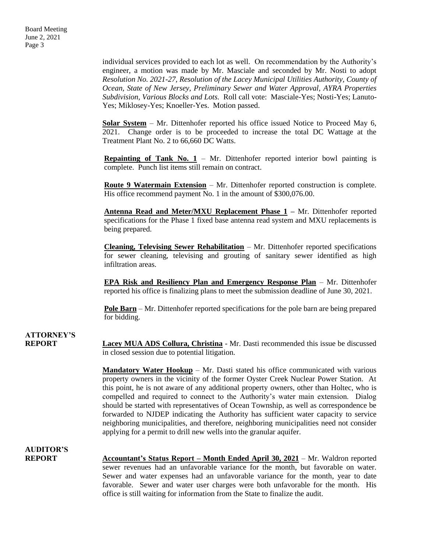individual services provided to each lot as well. On recommendation by the Authority's engineer, a motion was made by Mr. Masciale and seconded by Mr. Nosti to adopt *Resolution No. 2021-27, Resolution of the Lacey Municipal Utilities Authority, County of Ocean, State of New Jersey, Preliminary Sewer and Water Approval, AYRA Properties Subdivision, Various Blocks and Lots.* Roll call vote: Masciale-Yes; Nosti-Yes; Lanuto-Yes; Miklosey-Yes; Knoeller-Yes. Motion passed.

**Solar System** – Mr. Dittenhofer reported his office issued Notice to Proceed May 6, 2021. Change order is to be proceeded to increase the total DC Wattage at the Treatment Plant No. 2 to 66,660 DC Watts.

**Repainting of Tank No. 1** – Mr. Dittenhofer reported interior bowl painting is complete. Punch list items still remain on contract.

**Route 9 Watermain Extension** – Mr. Dittenhofer reported construction is complete. His office recommend payment No. 1 in the amount of \$300,076.00.

**Antenna Read and Meter/MXU Replacement Phase 1 –** Mr. Dittenhofer reported specifications for the Phase 1 fixed base antenna read system and MXU replacements is being prepared.

**Cleaning, Televising Sewer Rehabilitation** – Mr. Dittenhofer reported specifications for sewer cleaning, televising and grouting of sanitary sewer identified as high infiltration areas.

**EPA Risk and Resiliency Plan and Emergency Response Plan** – Mr. Dittenhofer reported his office is finalizing plans to meet the submission deadline of June 30, 2021.

**Pole Barn** – Mr. Dittenhofer reported specifications for the pole barn are being prepared for bidding.

# **ATTORNEY'S**

**REPORT Lacey MUA ADS Collura, Christina** - Mr. Dasti recommended this issue be discussed in closed session due to potential litigation.

> **Mandatory Water Hookup** – Mr. Dasti stated his office communicated with various property owners in the vicinity of the former Oyster Creek Nuclear Power Station. At this point, he is not aware of any additional property owners, other than Holtec, who is compelled and required to connect to the Authority's water main extension. Dialog should be started with representatives of Ocean Township, as well as correspondence be forwarded to NJDEP indicating the Authority has sufficient water capacity to service neighboring municipalities, and therefore, neighboring municipalities need not consider applying for a permit to drill new wells into the granular aquifer.

# **AUDITOR'S**

**REPORT** Accountant's Status Report – Month Ended April 30, 2021 – Mr. Waldron reported sewer revenues had an unfavorable variance for the month, but favorable on water. Sewer and water expenses had an unfavorable variance for the month, year to date favorable. Sewer and water user charges were both unfavorable for the month. His office is still waiting for information from the State to finalize the audit.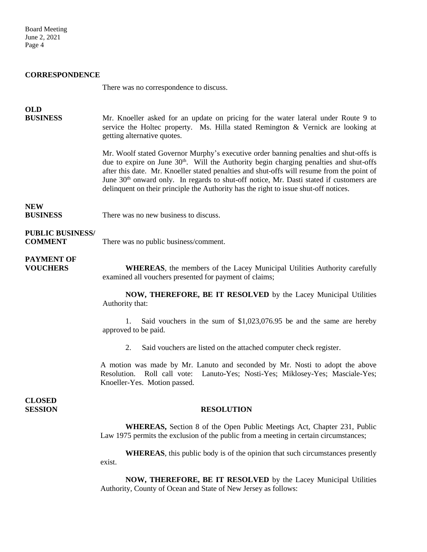Board Meeting June 2, 2021 Page 4

#### **CORRESPONDENCE**

There was no correspondence to discuss.

## **OLD**

**BUSINESS** Mr. Knoeller asked for an update on pricing for the water lateral under Route 9 to service the Holtec property. Ms. Hilla stated Remington & Vernick are looking at getting alternative quotes.

> Mr. Woolf stated Governor Murphy's executive order banning penalties and shut-offs is due to expire on June 30<sup>th</sup>. Will the Authority begin charging penalties and shut-offs after this date. Mr. Knoeller stated penalties and shut-offs will resume from the point of June  $30<sup>th</sup>$  onward only. In regards to shut-off notice, Mr. Dasti stated if customers are delinquent on their principle the Authority has the right to issue shut-off notices.

## **NEW**

**BUSINESS** There was no new business to discuss.

### **PUBLIC BUSINESS/**

**COMMENT** There was no public business/comment.

## **PAYMENT OF**

**VOUCHERS WHEREAS**, the members of the Lacey Municipal Utilities Authority carefully examined all vouchers presented for payment of claims;

> **NOW, THEREFORE, BE IT RESOLVED** by the Lacey Municipal Utilities Authority that:

> 1. Said vouchers in the sum of \$1,023,076.95 be and the same are hereby approved to be paid.

2. Said vouchers are listed on the attached computer check register.

A motion was made by Mr. Lanuto and seconded by Mr. Nosti to adopt the above Resolution. Roll call vote: Lanuto-Yes; Nosti-Yes; Miklosey-Yes; Masciale-Yes; Knoeller-Yes. Motion passed.

**CLOSED** 

#### **SESSION RESOLUTION**

**WHEREAS,** Section 8 of the Open Public Meetings Act, Chapter 231, Public Law 1975 permits the exclusion of the public from a meeting in certain circumstances;

**WHEREAS**, this public body is of the opinion that such circumstances presently exist.

**NOW, THEREFORE, BE IT RESOLVED** by the Lacey Municipal Utilities Authority, County of Ocean and State of New Jersey as follows: